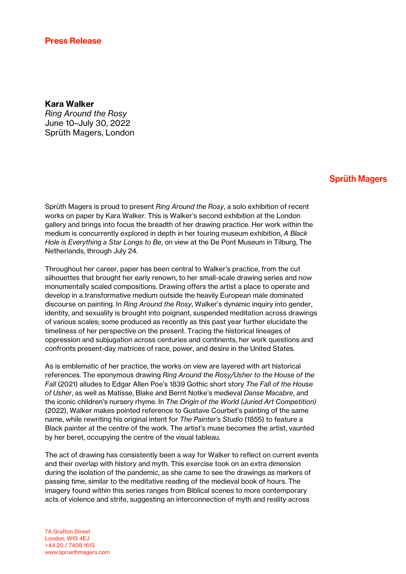## Kara Walker

*Ring Around the Rosy* June 10–July 30, 2022 Sprüth Magers, London

## **Sprüth Magers**

Sprüth Magers is proud to present *Ring Around the Rosy*, a solo exhibition of recent works on paper by Kara Walker. This is Walker's second exhibition at the London gallery and brings into focus the breadth of her drawing practice. Her work within the medium is concurrently explored in depth in her touring museum exhibition, *A Black Hole is Everything a Star Longs to Be*, on view at the De Pont Museum in Tilburg, The Netherlands, through July 24.

Throughout her career, paper has been central to Walker's practice, from the cut silhouettes that brought her early renown, to her small-scale drawing series and now monumentally scaled compositions. Drawing offers the artist a place to operate and develop in a transformative medium outside the heavily European male dominated discourse on painting. In *Ring Around the Rosy*, Walker's dynamic inquiry into gender, identity, and sexuality is brought into poignant, suspended meditation across drawings of various scales; some produced as recently as this past year further elucidate the timeliness of her perspective on the present. Tracing the historical lineages of oppression and subjugation across centuries and continents, her work questions and confronts present-day matrices of race, power, and desire in the United States.

As is emblematic of her practice, the works on view are layered with art historical references. The eponymous drawing *Ring Around the Rosy/Usher to the House of the Fall* (2021) alludes to Edgar Allen Poe's 1839 Gothic short story *The Fall of the House of Usher*, as well as Matisse, Blake and Bernt Notke's medieval *Danse Macabre*, and the iconic children's nursery rhyme. In *The Origin of the World (Juried Art Competition)* (2022), Walker makes pointed reference to Gustave Courbet's painting of the same name, while rewriting his original intent for *The Painter's Studio* (1855) to feature a Black painter at the centre of the work. The artist's muse becomes the artist, vaunted by her beret, occupying the centre of the visual tableau.

The act of drawing has consistently been a way for Walker to reflect on current events and their overlap with history and myth. This exercise took on an extra dimension during the isolation of the pandemic, as she came to see the drawings as markers of passing time, similar to the meditative reading of the medieval book of hours. The imagery found within this series ranges from Biblical scenes to more contemporary acts of violence and strife, suggesting an interconnection of myth and reality across